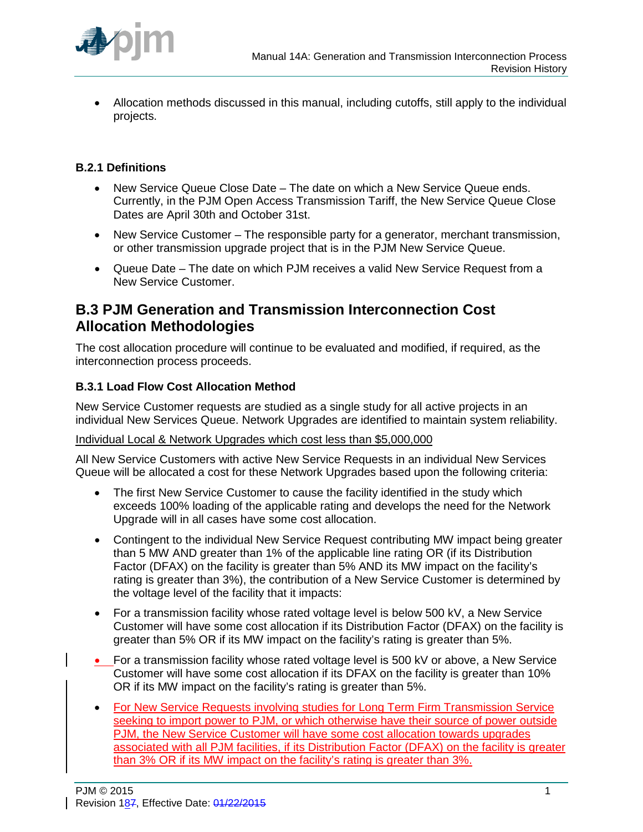

• Allocation methods discussed in this manual, including cutoffs, still apply to the individual projects.

## **B.2.1 Definitions**

- New Service Queue Close Date The date on which a New Service Queue ends. Currently, in the PJM Open Access Transmission Tariff, the New Service Queue Close Dates are April 30th and October 31st.
- New Service Customer The responsible party for a generator, merchant transmission, or other transmission upgrade project that is in the PJM New Service Queue.
- Queue Date The date on which PJM receives a valid New Service Request from a New Service Customer.

## **B.3 PJM Generation and Transmission Interconnection Cost Allocation Methodologies**

The cost allocation procedure will continue to be evaluated and modified, if required, as the interconnection process proceeds.

## **B.3.1 Load Flow Cost Allocation Method**

New Service Customer requests are studied as a single study for all active projects in an individual New Services Queue. Network Upgrades are identified to maintain system reliability.

## Individual Local & Network Upgrades which cost less than \$5,000,000

All New Service Customers with active New Service Requests in an individual New Services Queue will be allocated a cost for these Network Upgrades based upon the following criteria:

- The first New Service Customer to cause the facility identified in the study which exceeds 100% loading of the applicable rating and develops the need for the Network Upgrade will in all cases have some cost allocation.
- Contingent to the individual New Service Request contributing MW impact being greater than 5 MW AND greater than 1% of the applicable line rating OR (if its Distribution Factor (DFAX) on the facility is greater than 5% AND its MW impact on the facility's rating is greater than 3%), the contribution of a New Service Customer is determined by the voltage level of the facility that it impacts:
- For a transmission facility whose rated voltage level is below 500 kV, a New Service Customer will have some cost allocation if its Distribution Factor (DFAX) on the facility is greater than 5% OR if its MW impact on the facility's rating is greater than 5%.
- For a transmission facility whose rated voltage level is 500 kV or above, a New Service Customer will have some cost allocation if its DFAX on the facility is greater than 10% OR if its MW impact on the facility's rating is greater than 5%.
- For New Service Requests involving studies for Long Term Firm Transmission Service seeking to import power to PJM, or which otherwise have their source of power outside PJM, the New Service Customer will have some cost allocation towards upgrades associated with all PJM facilities, if its Distribution Factor (DFAX) on the facility is greater than 3% OR if its MW impact on the facility's rating is greater than 3%.